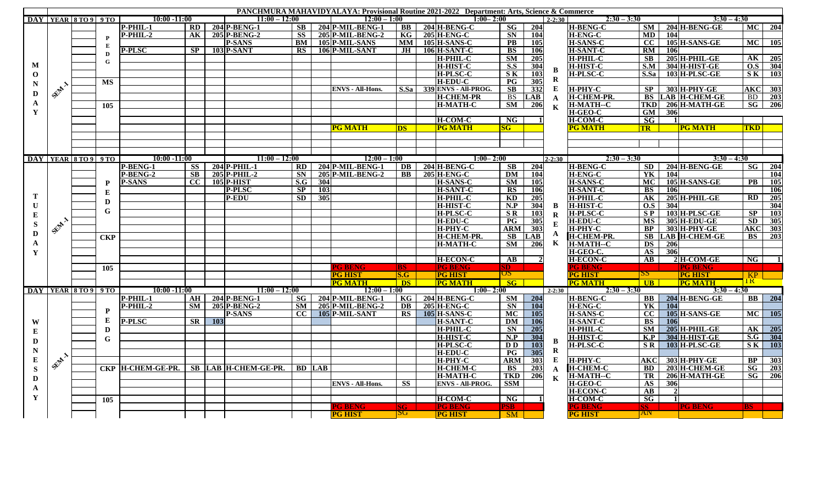| <b>PANCHMURA MAHAVIDYALAYA: Provisional Routine 2021-2022 Department: Arts, Science &amp; Commerce</b> |        |                            |             |                                        |      |            |                   |           |               |                         |                  |  |                           |                                   |            |              |                   |                        |            |                      |                 |                  |
|--------------------------------------------------------------------------------------------------------|--------|----------------------------|-------------|----------------------------------------|------|------------|-------------------|-----------|---------------|-------------------------|------------------|--|---------------------------|-----------------------------------|------------|--------------|-------------------|------------------------|------------|----------------------|-----------------|------------------|
|                                                                                                        |        | DAY   YEAR   8 TO 9   9 TO |             | $10:00 - 11:00$                        |      |            | $11:00 - 12:00$   |           |               | $12:00 - 1:00$          |                  |  | $1:00 - 2:00$             |                                   |            | $2 - 2:30$   | $2:30 - 3:30$     |                        |            | $3:30 - 4:30$        |                 |                  |
| M                                                                                                      |        |                            |             | P-PHIL-1                               | RD   |            | $204$ P-BENG-1    | SB -      |               | 204 P-MIL-BENG-1        | $\bf BB$         |  | $204$ H-BENG-C            | <b>SG</b>                         | 204        |              | <b>H-BENG-C</b>   | SM                     |            | $204$ H-BENG-GE      |                 | MC 204           |
|                                                                                                        |        |                            | P           | $P-PHIL-2$                             | AK   |            | 205 P-BENG-2      | <b>SS</b> |               | 205 P-MIL-BENG-2        | KG               |  | <b>205 H-ENG-C</b>        | <b>SN</b>                         | 104        |              | <b>H-ENG-C</b>    | MD                     | 104        |                      |                 |                  |
|                                                                                                        |        |                            | E           |                                        |      |            | <b>P-SANS</b>     | <b>BM</b> |               | 105 P-MIL-SANS          | <b>MM</b>        |  | <b>105 H-SANS-C</b>       | <b>PB</b>                         | 105        |              | <b>H-SANS-C</b>   | cc                     |            | 105 H-SANS-GE        | <b>MC</b>       | 105              |
|                                                                                                        |        |                            |             | <b>P-PLSC</b>                          | SP 1 |            | $103$ P-SANT      | <b>RS</b> |               | 106 P-MIL-SANT          | .IH              |  | <b>106 H-SANT-C</b>       | <b>BS</b>                         | 106        |              | <b>H-SANT-C</b>   | RM                     | 106        |                      |                 |                  |
|                                                                                                        |        |                            | D           |                                        |      |            |                   |           |               |                         |                  |  | <b>H-PHIL-C</b>           | <b>SM</b>                         | 205        |              | <b>H-PHIL-C</b>   | <b>SB</b>              |            | 205 H-PHIL-GE        |                 | AK 205           |
|                                                                                                        |        |                            | G           |                                        |      |            |                   |           |               |                         |                  |  | <b>H-HIST-C</b>           | S.S                               | 304        |              | <b>H-HIST-C</b>   | S.M                    |            | 304 H-HIST-GE        |                 | O.S 304          |
| $\mathbf 0$                                                                                            | SENT 1 |                            |             |                                        |      |            |                   |           |               |                         |                  |  | <b>H-PLSC-C</b>           | S K                               | 103        | $\bf{B}$     | <b>H-PLSC-C</b>   | S.Sa                   |            | 103 H-PLSC-GE        |                 | $S K$ 103        |
|                                                                                                        |        |                            | MS          |                                        |      |            |                   |           |               |                         |                  |  | <b>H-EDU-C</b>            | $\overline{\mathbf{P}\mathbf{G}}$ | 305        | $\bf R$      |                   |                        |            |                      |                 |                  |
| N<br>D<br>A                                                                                            |        |                            |             |                                        |      |            |                   |           |               | <b>ENVS - All-Hons.</b> |                  |  | S.Sa 339 ENVS - All-PROG. | $\overline{\text{SB}}$            | 332        | E            | <b>H-PHY-C</b>    | SP.                    |            | 303 H-PHY-GE         |                 | <b>AKC</b> 303   |
|                                                                                                        |        |                            |             |                                        |      |            |                   |           |               |                         |                  |  | <b>H-CHEM-PR</b>          | <b>BS</b>                         | <b>LAB</b> | $\mathbf{A}$ | <b>H-CHEM-PR.</b> | <b>BS</b>              |            | <b>LAB H-CHEM-GE</b> | BD.             | 203              |
|                                                                                                        |        |                            | 105         |                                        |      |            |                   |           |               |                         |                  |  | <b>H-MATH-C</b>           | SM                                | 206        |              | <b>H-MATH--C</b>  | <b>TKD</b>             |            | $206$ H-MATH-GE      | SG <sub>1</sub> | 206              |
| $\mathbf Y$                                                                                            |        |                            |             |                                        |      |            |                   |           |               |                         |                  |  |                           |                                   |            | $\mathbf K$  | H-GEO-C           | <b>GM</b>              | <b>306</b> |                      |                 |                  |
|                                                                                                        |        |                            |             |                                        |      |            |                   |           |               |                         |                  |  | <b>H-COM-C</b>            | NG                                |            |              | <b>H-COM-C</b>    | SG                     | $\vert$ 1  |                      |                 |                  |
|                                                                                                        |        |                            |             |                                        |      |            |                   |           |               | <b>PG MATH</b>          | <b>DS</b>        |  | <b>PG MATH</b>            | SG-                               |            |              | PG MATH           | <b>TR</b>              |            | <b>PG MATH</b>       | <b>TKD</b>      |                  |
|                                                                                                        |        |                            |             |                                        |      |            |                   |           |               |                         |                  |  |                           |                                   |            |              |                   |                        |            |                      |                 |                  |
|                                                                                                        |        |                            |             |                                        |      |            |                   |           |               |                         |                  |  |                           |                                   |            |              |                   |                        |            |                      |                 |                  |
|                                                                                                        |        |                            |             |                                        |      |            |                   |           |               |                         |                  |  |                           |                                   |            |              |                   |                        |            |                      |                 |                  |
|                                                                                                        |        |                            |             |                                        |      |            |                   |           |               |                         |                  |  |                           |                                   |            |              |                   |                        |            |                      |                 |                  |
|                                                                                                        |        | DAY YEAR 8 TO 9 9 TO       |             | $10:00 - 11:00$                        |      |            | $11:00 - 12:00$   |           |               | $12:00 - 1:00$          |                  |  | $1:00 - 2:00$             |                                   |            | $2 - 2:30$   | $2:30 - 3:30$     |                        |            | $3:30 - 4:30$        |                 |                  |
|                                                                                                        |        |                            |             | P-BENG-1                               | SS 1 |            | $204$ P-PHIL-1    | RD        |               | $204$ P-MIL-BENG-1      | DB               |  | $204$ H-BENG-C            | $\mathbf{S}\mathbf{B}$            | 204        |              | H-BENG-C          | SD                     |            | $204$ H-BENG-GE      |                 | $SG$ 204         |
| т<br>U<br>Е<br>${\bf S}$<br>D                                                                          |        |                            |             | P-BENG-2                               | SB   |            | $205$ P-PHIL-2    | <b>SN</b> |               | 205 P-MIL-BENG-2        | BB               |  | $205$ H-ENG-C             | DM                                | 104        |              | <b>H-ENG-C</b>    | YK                     | 104        |                      |                 | <b>104</b>       |
|                                                                                                        |        |                            | P           | <b>P-SANS</b>                          | CC   |            | <b>105 P-HIST</b> | S.G       | 304           |                         |                  |  | <b>H-SANS-C</b>           | <b>SM</b>                         | 105        |              | <b>H-SANS-C</b>   | <b>MC</b>              |            | 105 H-SANS-GE        | PB              | <b>105</b>       |
|                                                                                                        |        |                            | E           |                                        |      |            | <b>P-PLSC</b>     | SP        | 103           |                         |                  |  | <b>H-SANT-C</b>           | RS                                | 106        |              | <b>H-SANT-C</b>   | BS                     | 106        |                      |                 | 106              |
|                                                                                                        |        |                            | D           |                                        |      |            | <b>P-EDU</b>      | <b>SD</b> | 305           |                         |                  |  | <b>H-PHIL-C</b>           | $\mathbf{K}\mathbf{D}$            | 205        |              | H-PHIL-C          | AK                     |            | 205 H-PHIL-GE        | RD I            | 205              |
|                                                                                                        | SEAL 1 |                            |             |                                        |      |            |                   |           |               |                         |                  |  | <b>H-HIST-C</b>           | N.P                               | 304        | $\bf{B}$     | <b>H-HIST-C</b>   | O.S                    | 304        |                      |                 | 304              |
|                                                                                                        |        |                            | G           |                                        |      |            |                   |           |               |                         |                  |  | <b>H-PLSC-C</b>           | <b>SR</b>                         | 103        | ${\bf R}$    | <b>H-PLSC-C</b>   | $S_{P}$                |            | 103 H-PLSC-GE        | SP              | <b>103</b>       |
|                                                                                                        |        |                            |             |                                        |      |            |                   |           |               |                         |                  |  | <b>H-EDU-C</b>            | $\overline{\mathbf{P}\mathbf{G}}$ | 305        | ${\bf E}$    | <b>H-EDU-C</b>    | <b>MS</b>              |            | 305 H-EDU-GE         | SD.             | 305              |
|                                                                                                        |        |                            |             |                                        |      |            |                   |           |               |                         |                  |  | <b>H-PHY-C</b>            | ARM                               | 303        |              | H-PHY-C           | <b>BP</b>              |            | <b>303 H-PHY-GE</b>  | AKC             | 303              |
|                                                                                                        |        |                            | <b>CKP</b>  |                                        |      |            |                   |           |               |                         |                  |  | <b>H-CHEM-PR.</b>         | <b>SB</b>                         | LAB        | $\mathbf{A}$ | <b>H-CHEM-PR</b>  | <b>SB</b>              |            | <b>LAB H-CHEM-GE</b> | <b>BS</b>       | 203              |
| $\mathbf{A}$                                                                                           |        |                            |             |                                        |      |            |                   |           |               |                         |                  |  | <b>H-MATH-C</b>           | <b>SM</b>                         | 206        | $\mathbf K$  | <b>H-MATH--C</b>  | <b>DS</b>              | <b>206</b> |                      |                 |                  |
| Y                                                                                                      |        |                            |             |                                        |      |            |                   |           |               |                         |                  |  |                           |                                   |            |              | H-GEO-C.          | AS                     | 306        |                      |                 |                  |
|                                                                                                        |        |                            |             |                                        |      |            |                   |           |               |                         |                  |  | <b>H-ECON-C</b>           | $\mathbf{A}\mathbf{B}$            |            |              | <b>H-ECON-C</b>   | $\mathbf{A}\mathbf{B}$ |            | $2H$ -COM-GE         | NG <sub>1</sub> |                  |
|                                                                                                        |        |                            | 105         |                                        |      |            |                   |           |               | 'G BENC                 | BS.              |  | <b>PG BENG</b>            | SD <sub>1</sub>                   |            |              | PG BENG           |                        |            | PG R                 |                 |                  |
|                                                                                                        |        |                            |             |                                        |      |            |                   |           |               | <b>PG HIST</b>          | S.G              |  | <b>PG HIST</b>            | $\overline{\mathtt{OS}}$          |            |              | PG HIST           | 22                     |            | <b>PG HIST</b>       | KP.             |                  |
|                                                                                                        |        |                            |             |                                        |      |            |                   |           |               | <b>PG MATH</b>          | <b>DS</b>        |  | <b>PG MATH</b>            | SG                                |            |              | <b>PG MATH</b>    | <b>UB</b>              |            | <b>PG MATH</b>       | <u>IK.</u>      |                  |
|                                                                                                        |        | DAY IYEAR 5 TO 9 9 TO      |             | $10:00 - 11:00$                        |      |            | $11:00 - 12:00$   |           |               | $12:00 - 1:00$          |                  |  | $1:00 - 2:00$             |                                   |            | $2 - 2:30$   | $2:30 - 3:30$     |                        |            | $3:30 - 4:30$        |                 |                  |
|                                                                                                        |        |                            |             | P-PHIL-1                               |      |            | AH 204 P-BENG-1   | SG        |               | 204 P-MIL-BENG-1        | KG               |  | $204$ H-BENG-C            | SM                                | 204        |              | <b>H-BENG-C</b>   | <b>BB</b>              |            | 204 H-BENG-GE        |                 | <b>BB</b> 204    |
|                                                                                                        |        |                            |             | $P-PHIL-2$                             | SM   |            | $205$ P-BENG-2    | <b>SM</b> |               | $205$ P-MIL-BENG-2      | DB               |  | <b>205 H-ENG-C</b>        | <b>SN</b>                         | <b>104</b> |              | <b>H-ENG-C</b>    | YK                     | 104        |                      |                 |                  |
|                                                                                                        |        |                            | P           |                                        |      |            | <b>P-SANS</b>     | cc        |               | 105 P-MIL-SANT          | <b>RS</b>        |  | $105$ H-SANS-C            | MC                                | 105        |              | <b>H-SANS-C</b>   | cc                     |            | 105 H-SANS-GE        |                 | MC 105           |
| W                                                                                                      |        |                            | ${\bf E}$   | <b>P-PLSC</b>                          | SR - | <b>103</b> |                   |           |               |                         |                  |  | <b>H-SANT-C</b>           | <b>DM</b>                         | <b>106</b> |              | <b>H-SANT-C</b>   | <b>BS</b>              | 106        |                      |                 |                  |
|                                                                                                        |        |                            | $\mathbf D$ |                                        |      |            |                   |           |               |                         |                  |  | <b>H-PHIL-C</b>           | <b>SN</b>                         | 205        |              | H-PHIL-C          | <b>SM</b>              |            | 205 H-PHIL-GE        |                 | AK 205           |
| Е<br>D<br>N<br>${\bf E}$<br>S<br>D<br>A<br>Y                                                           |        |                            |             |                                        |      |            |                   |           |               |                         |                  |  | <b>H-HIST-C</b>           | N.P                               | 304        |              | <b>H-HIST-C</b>   | K.P                    |            | 304 H-HIST-GE        |                 | S.G 304          |
|                                                                                                        |        |                            | G           |                                        |      |            |                   |           |               |                         |                  |  | <b>H-PLSC-C</b>           | D <sub>D</sub>                    | <b>103</b> | B            | <b>H-PLSC-C</b>   | <b>SR</b>              |            | 103 H-PLSC-GE        |                 | $S K$ 103        |
|                                                                                                        |        |                            |             |                                        |      |            |                   |           |               |                         |                  |  | <b>H-EDU-C</b>            | $P$ G                             | 305        | $\mathbf R$  |                   |                        |            |                      |                 |                  |
|                                                                                                        | SEAT 1 |                            |             |                                        |      |            |                   |           |               |                         |                  |  | <b>H-PHY-C</b>            | <b>ARM</b>                        | 303        | $\bf{E}$     | <b>H-PHY-C</b>    | AKC                    |            | 303 H-PHY-GE         | <b>BP</b>       | $\boxed{303}$    |
|                                                                                                        |        |                            |             | CKP H-CHEM-GE-PR. SB LAB H-CHEM-GE-PR. |      |            |                   |           | <b>BD</b> LAB |                         |                  |  | <b>H-CHEM-C</b>           | <b>BS</b>                         | 203        |              | <b>H-CHEM-C</b>   | <b>BD</b>              |            | 203 H-CHEM-GE        | SG              | $\overline{203}$ |
|                                                                                                        |        |                            |             |                                        |      |            |                   |           |               |                         |                  |  | <b>H-MATH-C</b>           |                                   | 206        | $\mathbf{A}$ |                   | TR                     |            | 206 H-MATH-GE        | SG              | 206              |
|                                                                                                        |        |                            |             |                                        |      |            |                   |           |               |                         |                  |  |                           | TKD                               |            | $\mathbf K$  | H-MATH--C         |                        |            |                      |                 |                  |
|                                                                                                        |        |                            |             |                                        |      |            |                   |           |               | <b>ENVS - All-Hons.</b> | <b>SS</b>        |  | <b>ENVS - All-PROG.</b>   | <b>SSM</b>                        |            |              | <b>H-GEO-C</b>    | $\bf{AS}$              | 306        |                      |                 |                  |
|                                                                                                        |        |                            |             |                                        |      |            |                   |           |               |                         |                  |  |                           |                                   |            |              | <b>H-ECON-C</b>   | $\mathbf{A}\mathbf{B}$ |            |                      |                 |                  |
|                                                                                                        |        |                            | 105         |                                        |      |            |                   |           |               |                         |                  |  | <b>H-COM-C</b>            | NG                                |            |              | <b>H-COM-C</b>    | SG                     | -1 I       |                      |                 |                  |
|                                                                                                        |        |                            |             |                                        |      |            |                   |           |               | <b>PG BENG</b>          | SG.<br><b>SG</b> |  | <b>PG BENG</b>            | <b>PSB</b>                        |            |              | PG BENG           | SS.<br>AN              |            | <b>IPG BENG</b>      | RS.             |                  |
|                                                                                                        |        |                            |             |                                        |      |            |                   |           |               | <b>PG HIST</b>          |                  |  | <b>PG HIST</b>            | <b>SM</b>                         |            |              | <b>PG HIST</b>    |                        |            |                      |                 |                  |